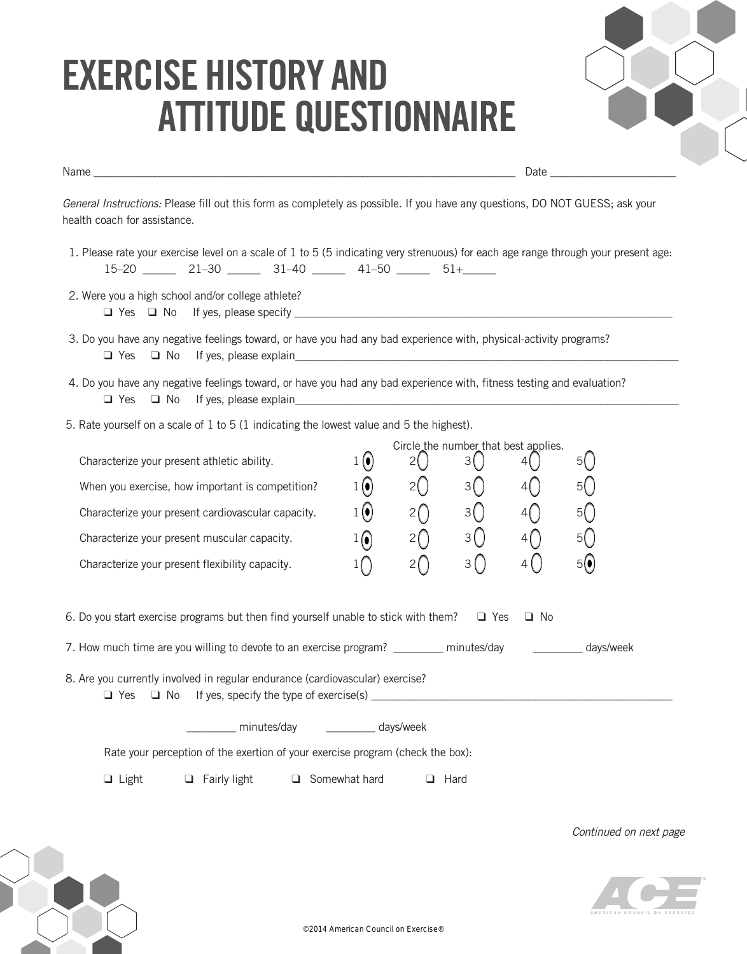## **eXerCIse hIstorY AnD AttItUDe QUestIonnAIre**

Name \_\_\_\_\_\_\_\_\_\_\_\_\_\_\_\_\_\_\_\_\_\_\_\_\_\_\_\_\_\_\_\_\_\_\_\_\_\_\_\_\_\_\_\_\_\_\_\_\_\_\_\_\_\_\_\_\_\_\_\_\_\_\_\_\_\_\_\_\_\_\_\_\_\_\_\_\_ Date \_\_\_\_\_\_\_\_\_\_\_\_\_\_\_\_\_\_\_\_\_\_\_



*General Instructions:* Please fill out this form as completely as possible. If you have any questions, DO NOT GUESS; ask your health coach for assistance.

- 1. Please rate your exercise level on a scale of 1 to 5 (5 indicating very strenuous) for each age range through your present age:  $15-20$  21-30  $\frac{31-40}{}$  41-50  $\frac{51+}{}$
- 2. Were you a high school and/or college athlete?  $\Box$  Yes  $\Box$  No If yes, please specify  $\Box$
- 3. Do you have any negative feelings toward, or have you had any bad experience with, physical-activity programs?  $\Box$  Yes  $\Box$  No If yes, please explain
- 4. Do you have any negative feelings toward, or have you had any bad experience with, fitness testing and evaluation? ❑ Yes ❑ No If yes, please explain\_\_\_\_\_\_\_\_\_\_\_\_\_\_\_\_\_\_\_\_\_\_\_\_\_\_\_\_\_\_\_\_\_\_\_\_\_\_\_\_\_\_\_\_\_\_\_\_\_\_\_\_\_\_\_\_\_\_\_\_\_\_\_\_\_\_\_\_\_\_
- 5. Rate yourself on a scale of 1 to 5 (1 indicating the lowest value and 5 the highest).

|                                                    |                          | Circle the number that best applies. |   |  |    |
|----------------------------------------------------|--------------------------|--------------------------------------|---|--|----|
| Characterize your present athletic ability.        |                          |                                      |   |  |    |
| When you exercise, how important is competition?   | $\left( \bullet \right)$ |                                      |   |  | 5( |
| Characterize your present cardiovascular capacity. |                          |                                      |   |  | 51 |
| Characterize your present muscular capacity.       |                          |                                      | 3 |  | 51 |
| Characterize your present flexibility capacity.    |                          |                                      |   |  | 5١ |

| 6. Do you start exercise programs but then find yourself unable to stick with them? $\Box$ Yes $\Box$ No |  |  |  |
|----------------------------------------------------------------------------------------------------------|--|--|--|
|----------------------------------------------------------------------------------------------------------|--|--|--|

| 7. How much time are you willing to devote to an exercise program? _ | minutes/day | _ days/week |
|----------------------------------------------------------------------|-------------|-------------|
|----------------------------------------------------------------------|-------------|-------------|

 8. Are you currently involved in regular endurance (cardiovascular) exercise? ❑ Yes ❑ No If yes, specify the type of exercise(s) \_\_\_\_\_\_\_\_\_\_\_\_\_\_\_\_\_\_\_\_\_\_\_\_\_\_\_\_\_\_\_\_\_\_\_\_\_\_\_\_\_\_\_\_\_\_\_\_\_\_\_\_\_\_\_

\_\_\_\_\_\_\_\_\_ minutes/day \_\_\_\_\_\_\_\_\_ days/week

Rate your perception of the exertion of your exercise program (check the box):

❑ Light ❑ Fairly light ❑ Somewhat hard ❑ Hard

*Continued on next page*